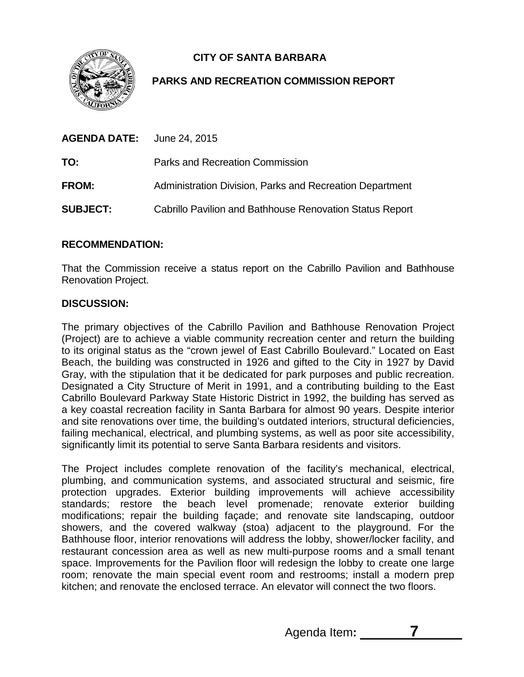**CITY OF SANTA BARBARA**



# **PARKS AND RECREATION COMMISSION REPORT**

| <b>AGENDA DATE:</b> June 24, 2015 |                                                                 |
|-----------------------------------|-----------------------------------------------------------------|
| TO:                               | Parks and Recreation Commission                                 |
| <b>FROM:</b>                      | Administration Division, Parks and Recreation Department        |
| <b>SUBJECT:</b>                   | <b>Cabrillo Pavilion and Bathhouse Renovation Status Report</b> |

## **RECOMMENDATION:**

That the Commission receive a status report on the Cabrillo Pavilion and Bathhouse Renovation Project.

## **DISCUSSION:**

The primary objectives of the Cabrillo Pavilion and Bathhouse Renovation Project (Project) are to achieve a viable community recreation center and return the building to its original status as the "crown jewel of East Cabrillo Boulevard." Located on East Beach, the building was constructed in 1926 and gifted to the City in 1927 by David Gray, with the stipulation that it be dedicated for park purposes and public recreation. Designated a City Structure of Merit in 1991, and a contributing building to the East Cabrillo Boulevard Parkway State Historic District in 1992, the building has served as a key coastal recreation facility in Santa Barbara for almost 90 years. Despite interior and site renovations over time, the building's outdated interiors, structural deficiencies, failing mechanical, electrical, and plumbing systems, as well as poor site accessibility, significantly limit its potential to serve Santa Barbara residents and visitors.

The Project includes complete renovation of the facility's mechanical, electrical, plumbing, and communication systems, and associated structural and seismic, fire protection upgrades. Exterior building improvements will achieve accessibility standards; restore the beach level promenade; renovate exterior building modifications; repair the building façade; and renovate site landscaping, outdoor showers, and the covered walkway (stoa) adjacent to the playground. For the Bathhouse floor, interior renovations will address the lobby, shower/locker facility, and restaurant concession area as well as new multi-purpose rooms and a small tenant space. Improvements for the Pavilion floor will redesign the lobby to create one large room; renovate the main special event room and restrooms; install a modern prep kitchen; and renovate the enclosed terrace. An elevator will connect the two floors.

Agenda Item**: 7**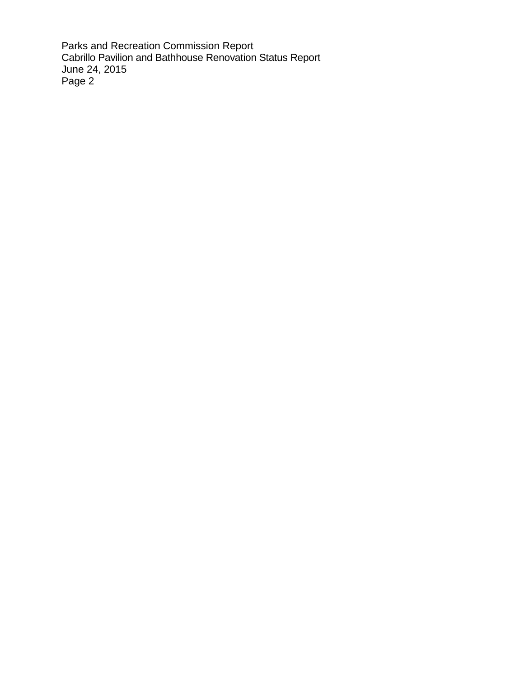Parks and Recreation Commission Report Cabrillo Pavilion and Bathhouse Renovation Status Report June 24, 2015 Page 2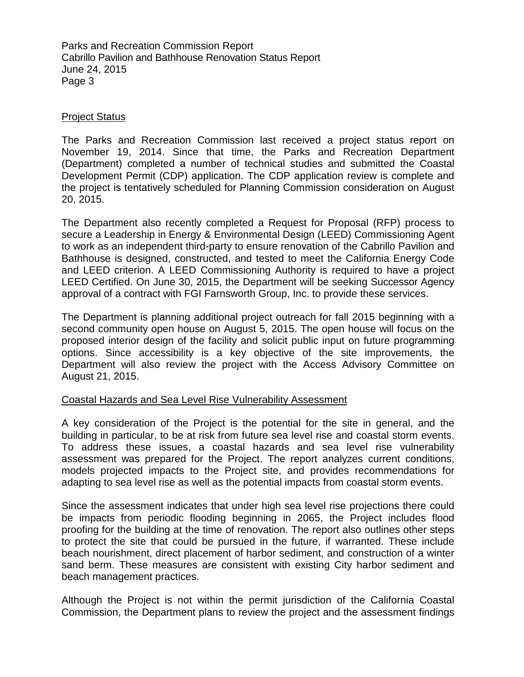Parks and Recreation Commission Report Cabrillo Pavilion and Bathhouse Renovation Status Report June 24, 2015 Page 3

#### Project Status

The Parks and Recreation Commission last received a project status report on November 19, 2014. Since that time, the Parks and Recreation Department (Department) completed a number of technical studies and submitted the Coastal Development Permit (CDP) application. The CDP application review is complete and the project is tentatively scheduled for Planning Commission consideration on August 20, 2015.

The Department also recently completed a Request for Proposal (RFP) process to secure a Leadership in Energy & Environmental Design (LEED) Commissioning Agent to work as an independent third-party to ensure renovation of the Cabrillo Pavilion and Bathhouse is designed, constructed, and tested to meet the California Energy Code and LEED criterion. A LEED Commissioning Authority is required to have a project LEED Certified. On June 30, 2015, the Department will be seeking Successor Agency approval of a contract with FGI Farnsworth Group, Inc. to provide these services.

The Department is planning additional project outreach for fall 2015 beginning with a second community open house on August 5, 2015. The open house will focus on the proposed interior design of the facility and solicit public input on future programming options. Since accessibility is a key objective of the site improvements, the Department will also review the project with the Access Advisory Committee on August 21, 2015.

#### Coastal Hazards and Sea Level Rise Vulnerability Assessment

A key consideration of the Project is the potential for the site in general, and the building in particular, to be at risk from future sea level rise and coastal storm events. To address these issues, a coastal hazards and sea level rise vulnerability assessment was prepared for the Project. The report analyzes current conditions, models projected impacts to the Project site, and provides recommendations for adapting to sea level rise as well as the potential impacts from coastal storm events.

Since the assessment indicates that under high sea level rise projections there could be impacts from periodic flooding beginning in 2065, the Project includes flood proofing for the building at the time of renovation. The report also outlines other steps to protect the site that could be pursued in the future, if warranted. These include beach nourishment, direct placement of harbor sediment, and construction of a winter sand berm. These measures are consistent with existing City harbor sediment and beach management practices.

Although the Project is not within the permit jurisdiction of the California Coastal Commission, the Department plans to review the project and the assessment findings